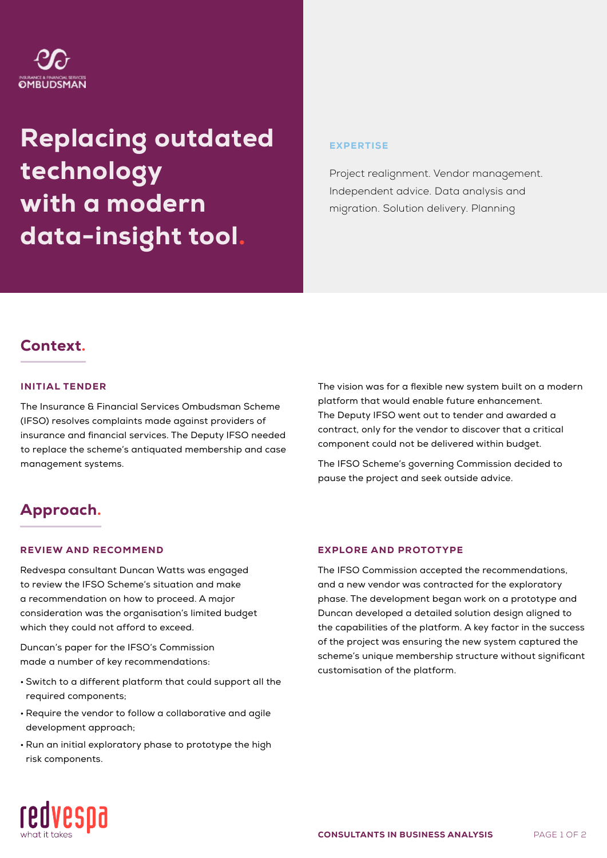# OMBUDSMAN

# Replacing outdated technology with a modern data-insight tool.

#### **EXPERTISE**

Project realignment. Vendor management. Independent advice. Data analysis and migration. Solution delivery. Planning

## Context.

#### INITIAL TENDER

The Insurance & Financial Services Ombudsman Scheme (IFSO) resolves complaints made against providers of insurance and financial services. The Deputy IFSO needed to replace the scheme's antiquated membership and case management systems.

# Approach.

#### REVIEW AND RECOMMEND

Redvespa consultant Duncan Watts was engaged to review the IFSO Scheme's situation and make a recommendation on how to proceed. A major consideration was the organisation's limited budget which they could not afford to exceed.

Duncan's paper for the IFSO's Commission made a number of key recommendations:

- Switch to a different platform that could support all the required components;
- Require the vendor to follow a collaborative and agile development approach;
- Run an initial exploratory phase to prototype the high risk components.

#### EXPLORE AND PROTOTYPE

The IFSO Commission accepted the recommendations, and a new vendor was contracted for the exploratory phase. The development began work on a prototype and Duncan developed a detailed solution design aligned to the capabilities of the platform. A key factor in the success of the project was ensuring the new system captured the scheme's unique membership structure without significant customisation of the platform.

The vision was for a flexible new system built on a modern

platform that would enable future enhancement. The Deputy IFSO went out to tender and awarded a contract, only for the vendor to discover that a critical component could not be delivered within budget.

The IFSO Scheme's governing Commission decided to

pause the project and seek outside advice.